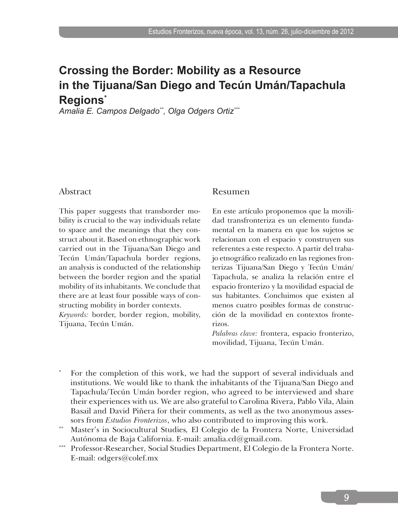# **Crossing the Border: Mobility as a Resource in the Tijuana/San Diego and Tecún Umán/Tapachula Regions\***

*Amalia E. Campos Delgado\*\*, Olga Odgers Ortiz\*\*\**

#### Abstract

This paper suggests that transborder mobility is crucial to the way individuals relate to space and the meanings that they construct about it. Based on ethnographic work carried out in the Tijuana/San Diego and Tecún Umán/Tapachula border regions, an analysis is conducted of the relationship between the border region and the spatial mobility of its inhabitants. We conclude that there are at least four possible ways of constructing mobility in border contexts.

*Keywords:* border, border region, mobility, Tijuana, Tecún Umán.

#### Resumen

En este artículo proponemos que la movilidad transfronteriza es un elemento fundamental en la manera en que los sujetos se relacionan con el espacio y construyen sus referentes a este respecto. A partir del trabajo etnográfico realizado en las regiones fronterizas Tijuana/San Diego y Tecún Umán/ Tapachula, se analiza la relación entre el espacio fronterizo y la movilidad espacial de sus habitantes. Concluimos que existen al menos cuatro posibles formas de construcción de la movilidad en contextos fronterizos.

*Palabras clave:* frontera, espacio fronterizo, movilidad, Tijuana, Tecún Umán.

- For the completion of this work, we had the support of several individuals and institutions. We would like to thank the inhabitants of the Tijuana/San Diego and Tapachula/Tecún Umán border region, who agreed to be interviewed and share their experiences with us. We are also grateful to Carolina Rivera, Pablo Vila, Alain Basail and David Piñera for their comments, as well as the two anonymous assessors from *Estudios Fronterizos*, who also contributed to improving this work.
- \*\* Master's in Sociocultural Studies*,* El Colegio de la Frontera Norte, Universidad Autónoma de Baja California. E-mail: amalia.cd@gmail.com.
- \*\*\* Professor-Researcher*,* Social Studies Department, El Colegio de la Frontera Norte. E-mail: odgers@colef.mx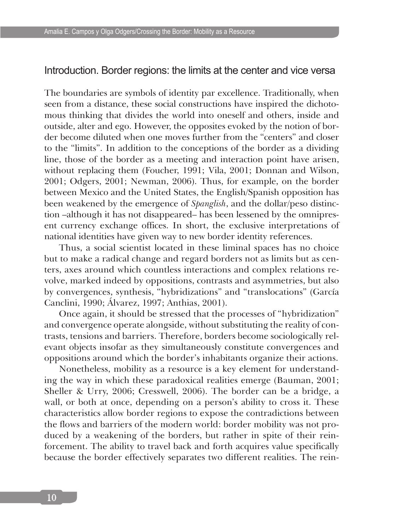#### Introduction. Border regions: the limits at the center and vice versa

The boundaries are symbols of identity par excellence. Traditionally, when seen from a distance, these social constructions have inspired the dichotomous thinking that divides the world into oneself and others, inside and outside, alter and ego. However, the opposites evoked by the notion of border become diluted when one moves further from the "centers" and closer to the "limits". In addition to the conceptions of the border as a dividing line, those of the border as a meeting and interaction point have arisen, without replacing them (Foucher, 1991; Vila, 2001; Donnan and Wilson, 2001; Odgers, 2001; Newman, 2006). Thus, for example, on the border between Mexico and the United States, the English/Spanish opposition has been weakened by the emergence of *Spanglish*, and the dollar/peso distinction –although it has not disappeared– has been lessened by the omnipresent currency exchange offices. In short, the exclusive interpretations of national identities have given way to new border identity references.

Thus, a social scientist located in these liminal spaces has no choice but to make a radical change and regard borders not as limits but as centers, axes around which countless interactions and complex relations revolve, marked indeed by oppositions, contrasts and asymmetries, but also by convergences, synthesis, "hybridizations" and "translocations" (García Canclini, 1990; Álvarez, 1997; Anthias, 2001).

Once again, it should be stressed that the processes of "hybridization" and convergence operate alongside, without substituting the reality of contrasts, tensions and barriers. Therefore, borders become sociologically relevant objects insofar as they simultaneously constitute convergences and oppositions around which the border's inhabitants organize their actions.

Nonetheless, mobility as a resource is a key element for understanding the way in which these paradoxical realities emerge (Bauman, 2001; Sheller & Urry, 2006; Cresswell, 2006). The border can be a bridge, a wall, or both at once, depending on a person's ability to cross it. These characteristics allow border regions to expose the contradictions between the flows and barriers of the modern world: border mobility was not produced by a weakening of the borders, but rather in spite of their reinforcement. The ability to travel back and forth acquires value specifically because the border effectively separates two different realities. The rein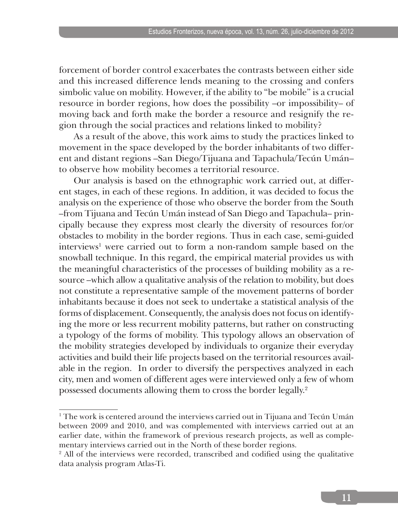forcement of border control exacerbates the contrasts between either side and this increased difference lends meaning to the crossing and confers simbolic value on mobility. However, if the ability to "be mobile" is a crucial resource in border regions, how does the possibility –or impossibility– of moving back and forth make the border a resource and resignify the region through the social practices and relations linked to mobility?

As a result of the above, this work aims to study the practices linked to movement in the space developed by the border inhabitants of two different and distant regions –San Diego/Tijuana and Tapachula/Tecún Umán– to observe how mobility becomes a territorial resource.

Our analysis is based on the ethnographic work carried out, at different stages, in each of these regions. In addition, it was decided to focus the analysis on the experience of those who observe the border from the South –from Tijuana and Tecún Umán instead of San Diego and Tapachula– principally because they express most clearly the diversity of resources for/or obstacles to mobility in the border regions. Thus in each case, semi-guided interviews<sup>1</sup> were carried out to form a non-random sample based on the snowball technique. In this regard, the empirical material provides us with the meaningful characteristics of the processes of building mobility as a resource –which allow a qualitative analysis of the relation to mobility, but does not constitute a representative sample of the movement patterns of border inhabitants because it does not seek to undertake a statistical analysis of the forms of displacement. Consequently, the analysis does not focus on identifying the more or less recurrent mobility patterns, but rather on constructing a typology of the forms of mobility. This typology allows an observation of the mobility strategies developed by individuals to organize their everyday activities and build their life projects based on the territorial resources available in the region. In order to diversify the perspectives analyzed in each city, men and women of different ages were interviewed only a few of whom possessed documents allowing them to cross the border legally.2

<sup>1</sup> The work is centered around the interviews carried out in Tijuana and Tecún Umán between 2009 and 2010, and was complemented with interviews carried out at an earlier date, within the framework of previous research projects, as well as complementary interviews carried out in the North of these border regions.

<sup>&</sup>lt;sup>2</sup> All of the interviews were recorded, transcribed and codified using the qualitative data analysis program Atlas-Ti.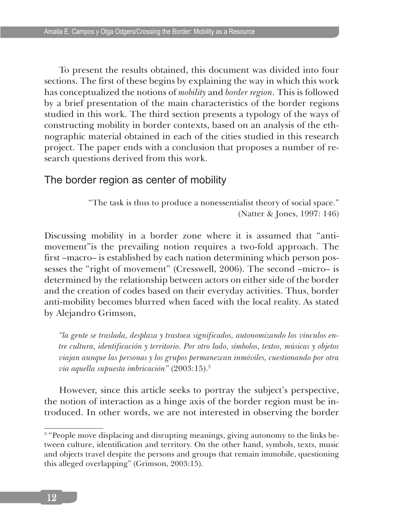To present the results obtained, this document was divided into four sections. The first of these begins by explaining the way in which this work has conceptualized the notions of *mobility* and *border region*. This is followed by a brief presentation of the main characteristics of the border regions studied in this work. The third section presents a typology of the ways of constructing mobility in border contexts, based on an analysis of the ethnographic material obtained in each of the cities studied in this research project. The paper ends with a conclusion that proposes a number of research questions derived from this work.

### The border region as center of mobility

"The task is thus to produce a nonessentialist theory of social space." (Natter & Jones, 1997: 146)

Discussing mobility in a border zone where it is assumed that "antimovement"is the prevailing notion requires a two-fold approach. The first –macro– is established by each nation determining which person possesses the "right of movement" (Cresswell, 2006). The second –micro– is determined by the relationship between actors on either side of the border and the creation of codes based on their everyday activities. Thus, border anti-mobility becomes blurred when faced with the local reality. As stated by Alejandro Grimson,

*"la gente se traslada, desplaza y trastoca significados, autonomizando los vínculos entre cultura, identificación y territorio. Por otro lado, símbolos, textos, músicas y objetos viajan aunque las personas y los grupos permanezcan inmóviles, cuestionando por otra vía aquella supuesta imbricación"* (2003:15).3

However, since this article seeks to portray the subject's perspective, the notion of interaction as a hinge axis of the border region must be introduced. In other words, we are not interested in observing the border

<sup>&</sup>lt;sup>3</sup> "People move displacing and disrupting meanings, giving autonomy to the links between culture, identification and territory. On the other hand, symbols, texts, music and objects travel despite the persons and groups that remain immobile, questioning this alleged overlapping" (Grimson, 2003:15).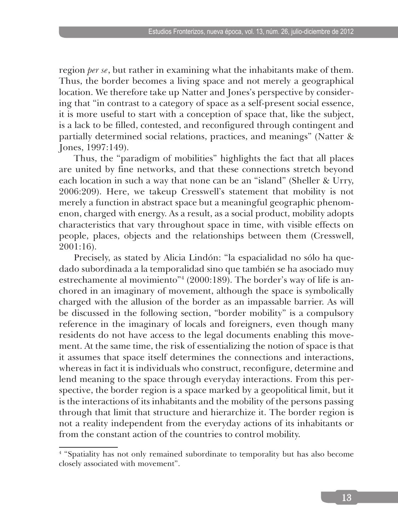region *per se*, but rather in examining what the inhabitants make of them. Thus, the border becomes a living space and not merely a geographical location. We therefore take up Natter and Jones's perspective by considering that "in contrast to a category of space as a self-present social essence, it is more useful to start with a conception of space that, like the subject, is a lack to be filled, contested, and reconfigured through contingent and partially determined social relations, practices, and meanings" (Natter & Jones, 1997:149).

Thus, the "paradigm of mobilities" highlights the fact that all places are united by fine networks, and that these connections stretch beyond each location in such a way that none can be an "island" (Sheller & Urry, 2006:209). Here, we takeup Cresswell's statement that mobility is not merely a function in abstract space but a meaningful geographic phenomenon, charged with energy. As a result, as a social product, mobility adopts characteristics that vary throughout space in time, with visible effects on people, places, objects and the relationships between them (Cresswell, 2001:16).

Precisely, as stated by Alicia Lindón: "la espacialidad no sólo ha quedado subordinada a la temporalidad sino que también se ha asociado muy estrechamente al movimiento"4 (2000:189). The border's way of life is anchored in an imaginary of movement, although the space is symbolically charged with the allusion of the border as an impassable barrier. As will be discussed in the following section, "border mobility" is a compulsory reference in the imaginary of locals and foreigners, even though many residents do not have access to the legal documents enabling this movement. At the same time, the risk of essentializing the notion of space is that it assumes that space itself determines the connections and interactions, whereas in fact it is individuals who construct, reconfigure, determine and lend meaning to the space through everyday interactions. From this perspective, the border region is a space marked by a geopolitical limit, but it is the interactions of its inhabitants and the mobility of the persons passing through that limit that structure and hierarchize it. The border region is not a reality independent from the everyday actions of its inhabitants or from the constant action of the countries to control mobility.

<sup>4</sup> "Spatiality has not only remained subordinate to temporality but has also become closely associated with movement".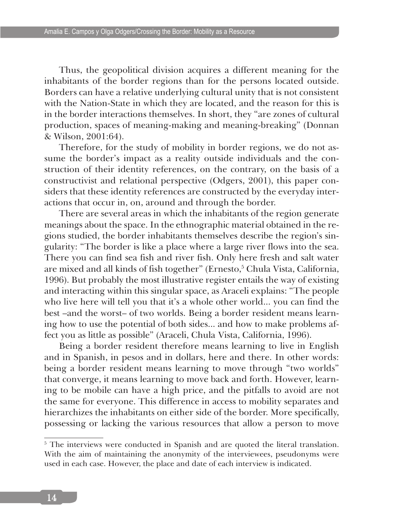Thus, the geopolitical division acquires a different meaning for the inhabitants of the border regions than for the persons located outside. Borders can have a relative underlying cultural unity that is not consistent with the Nation-State in which they are located, and the reason for this is in the border interactions themselves. In short, they "are zones of cultural production, spaces of meaning-making and meaning-breaking" (Donnan & Wilson, 2001:64).

Therefore, for the study of mobility in border regions, we do not assume the border's impact as a reality outside individuals and the construction of their identity references, on the contrary, on the basis of a constructivist and relational perspective (Odgers, 2001), this paper considers that these identity references are constructed by the everyday interactions that occur in, on, around and through the border.

There are several areas in which the inhabitants of the region generate meanings about the space. In the ethnographic material obtained in the regions studied, the border inhabitants themselves describe the region's singularity: "The border is like a place where a large river flows into the sea. There you can find sea fish and river fish. Only here fresh and salt water are mixed and all kinds of fish together" (Ernesto,<sup>5</sup> Chula Vista, California, 1996). But probably the most illustrative register entails the way of existing and interacting within this singular space, as Araceli explains: "The people who live here will tell you that it's a whole other world... you can find the best –and the worst– of two worlds. Being a border resident means learning how to use the potential of both sides... and how to make problems affect you as little as possible" (Araceli, Chula Vista, California, 1996).

Being a border resident therefore means learning to live in English and in Spanish, in pesos and in dollars, here and there. In other words: being a border resident means learning to move through "two worlds" that converge, it means learning to move back and forth. However, learning to be mobile can have a high price, and the pitfalls to avoid are not the same for everyone. This difference in access to mobility separates and hierarchizes the inhabitants on either side of the border. More specifically, possessing or lacking the various resources that allow a person to move

<sup>&</sup>lt;sup>5</sup> The interviews were conducted in Spanish and are quoted the literal translation. With the aim of maintaining the anonymity of the interviewees, pseudonyms were used in each case. However, the place and date of each interview is indicated.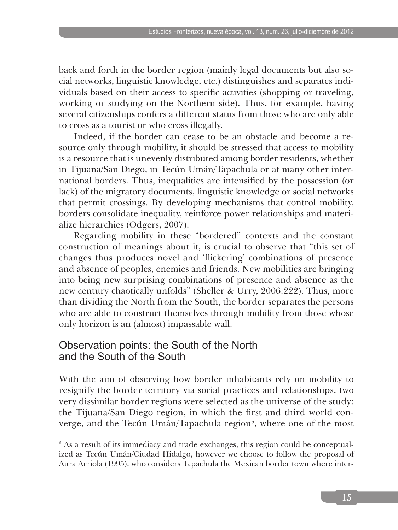back and forth in the border region (mainly legal documents but also social networks, linguistic knowledge, etc.) distinguishes and separates individuals based on their access to specific activities (shopping or traveling, working or studying on the Northern side). Thus, for example, having several citizenships confers a different status from those who are only able to cross as a tourist or who cross illegally.

Indeed, if the border can cease to be an obstacle and become a resource only through mobility, it should be stressed that access to mobility is a resource that is unevenly distributed among border residents, whether in Tijuana/San Diego, in Tecún Umán/Tapachula or at many other international borders. Thus, inequalities are intensified by the possession (or lack) of the migratory documents, linguistic knowledge or social networks that permit crossings. By developing mechanisms that control mobility, borders consolidate inequality, reinforce power relationships and materialize hierarchies (Odgers, 2007).

Regarding mobility in these "bordered" contexts and the constant construction of meanings about it, is crucial to observe that "this set of changes thus produces novel and 'flickering' combinations of presence and absence of peoples, enemies and friends. New mobilities are bringing into being new surprising combinations of presence and absence as the new century chaotically unfolds" (Sheller & Urry, 2006:222). Thus, more than dividing the North from the South, the border separates the persons who are able to construct themselves through mobility from those whose only horizon is an (almost) impassable wall.

## Observation points: the South of the North and the South of the South

With the aim of observing how border inhabitants rely on mobility to resignify the border territory via social practices and relationships, two very dissimilar border regions were selected as the universe of the study: the Tijuana/San Diego region, in which the first and third world converge, and the Tecún Umán/Tapachula region<sup>6</sup>, where one of the most

<sup>6</sup> As a result of its immediacy and trade exchanges, this region could be conceptualized as Tecún Umán/Ciudad Hidalgo, however we choose to follow the proposal of Aura Arriola (1995), who considers Tapachula the Mexican border town where inter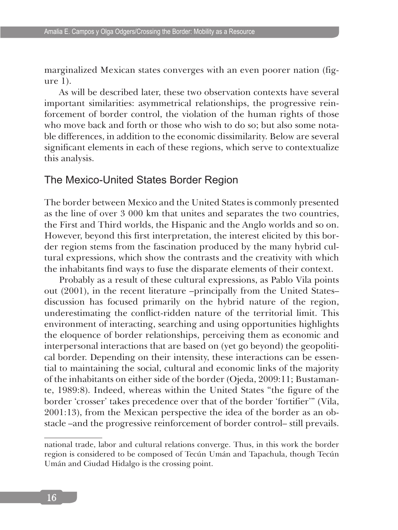marginalized Mexican states converges with an even poorer nation (figure 1).

As will be described later, these two observation contexts have several important similarities: asymmetrical relationships, the progressive reinforcement of border control, the violation of the human rights of those who move back and forth or those who wish to do so; but also some notable differences, in addition to the economic dissimilarity. Below are several significant elements in each of these regions, which serve to contextualize this analysis.

## The Mexico-United States Border Region

The border between Mexico and the United States is commonly presented as the line of over 3 000 km that unites and separates the two countries, the First and Third worlds, the Hispanic and the Anglo worlds and so on. However, beyond this first interpretation, the interest elicited by this border region stems from the fascination produced by the many hybrid cultural expressions, which show the contrasts and the creativity with which the inhabitants find ways to fuse the disparate elements of their context.

Probably as a result of these cultural expressions, as Pablo Vila points out (2001), in the recent literature –principally from the United States– discussion has focused primarily on the hybrid nature of the region, underestimating the conflict-ridden nature of the territorial limit. This environment of interacting, searching and using opportunities highlights the eloquence of border relationships, perceiving them as economic and interpersonal interactions that are based on (yet go beyond) the geopolitical border. Depending on their intensity, these interactions can be essential to maintaining the social, cultural and economic links of the majority of the inhabitants on either side of the border (Ojeda, 2009:11; Bustamante, 1989:8). Indeed, whereas within the United States "the figure of the border 'crosser' takes precedence over that of the border 'fortifier'" (Vila, 2001:13), from the Mexican perspective the idea of the border as an obstacle –and the progressive reinforcement of border control– still prevails.

national trade, labor and cultural relations converge. Thus, in this work the border region is considered to be composed of Tecún Umán and Tapachula, though Tecún Umán and Ciudad Hidalgo is the crossing point.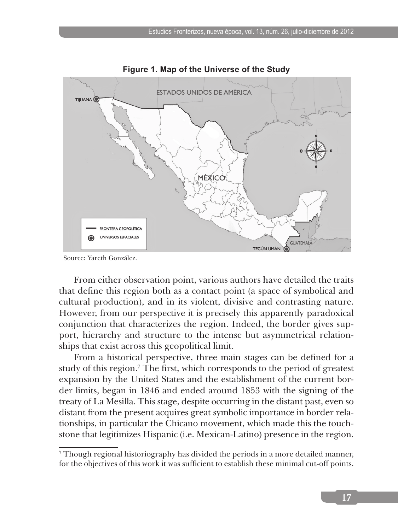

**Figure 1. Map of the Universe of the Study**

Source: Yareth González.

From either observation point, various authors have detailed the traits that define this region both as a contact point (a space of symbolical and cultural production), and in its violent, divisive and contrasting nature. However, from our perspective it is precisely this apparently paradoxical conjunction that characterizes the region. Indeed, the border gives support, hierarchy and structure to the intense but asymmetrical relationships that exist across this geopolitical limit.

From a historical perspective, three main stages can be defined for a study of this region.<sup>7</sup> The first, which corresponds to the period of greatest expansion by the United States and the establishment of the current border limits, began in 1846 and ended around 1853 with the signing of the treaty of La Mesilla. This stage, despite occurring in the distant past, even so distant from the present acquires great symbolic importance in border relationships, in particular the Chicano movement, which made this the touchstone that legitimizes Hispanic (i.e. Mexican-Latino) presence in the region.

<sup>7</sup> Though regional historiography has divided the periods in a more detailed manner, for the objectives of this work it was sufficient to establish these minimal cut-off points.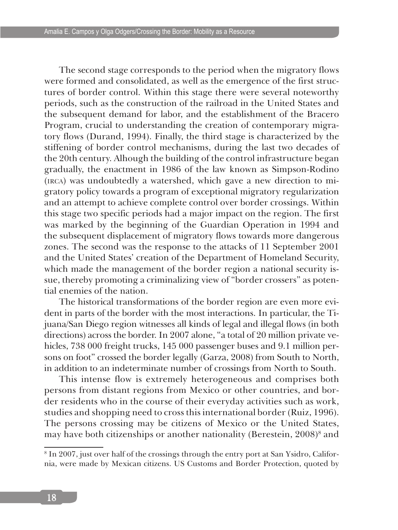The second stage corresponds to the period when the migratory flows were formed and consolidated, as well as the emergence of the first structures of border control. Within this stage there were several noteworthy periods, such as the construction of the railroad in the United States and the subsequent demand for labor, and the establishment of the Bracero Program, crucial to understanding the creation of contemporary migratory flows (Durand, 1994). Finally, the third stage is characterized by the stiffening of border control mechanisms, during the last two decades of the 20th century. Alhough the building of the control infrastructure began gradually, the enactment in 1986 of the law known as Simpson-Rodino (irca) was undoubtedly a watershed, which gave a new direction to migratory policy towards a program of exceptional migratory regularization and an attempt to achieve complete control over border crossings. Within this stage two specific periods had a major impact on the region. The first was marked by the beginning of the Guardian Operation in 1994 and the subsequent displacement of migratory flows towards more dangerous zones. The second was the response to the attacks of 11 September 2001 and the United States' creation of the Department of Homeland Security, which made the management of the border region a national security issue, thereby promoting a criminalizing view of "border crossers" as potential enemies of the nation.

The historical transformations of the border region are even more evident in parts of the border with the most interactions. In particular, the Tijuana/San Diego region witnesses all kinds of legal and illegal flows (in both directions) across the border. In 2007 alone, "a total of 20 million private vehicles, 738 000 freight trucks, 145 000 passenger buses and 9.1 million persons on foot" crossed the border legally (Garza, 2008) from South to North, in addition to an indeterminate number of crossings from North to South.

This intense flow is extremely heterogeneous and comprises both persons from distant regions from Mexico or other countries, and border residents who in the course of their everyday activities such as work, studies and shopping need to cross this international border (Ruiz, 1996). The persons crossing may be citizens of Mexico or the United States, may have both citizenships or another nationality (Berestein, 2008)<sup>8</sup> and

<sup>8</sup> In 2007, just over half of the crossings through the entry port at San Ysidro, California, were made by Mexican citizens. US Customs and Border Protection, quoted by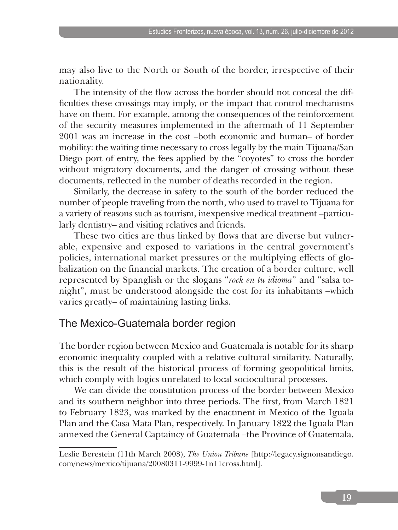may also live to the North or South of the border, irrespective of their nationality.

The intensity of the flow across the border should not conceal the difficulties these crossings may imply, or the impact that control mechanisms have on them. For example, among the consequences of the reinforcement of the security measures implemented in the aftermath of 11 September 2001 was an increase in the cost –both economic and human– of border mobility: the waiting time necessary to cross legally by the main Tijuana/San Diego port of entry, the fees applied by the "coyotes" to cross the border without migratory documents, and the danger of crossing without these documents, reflected in the number of deaths recorded in the region.

Similarly, the decrease in safety to the south of the border reduced the number of people traveling from the north, who used to travel to Tijuana for a variety of reasons such as tourism, inexpensive medical treatment –particularly dentistry– and visiting relatives and friends.

These two cities are thus linked by flows that are diverse but vulnerable, expensive and exposed to variations in the central government's policies, international market pressures or the multiplying effects of globalization on the financial markets. The creation of a border culture, well represented by Spanglish or the slogans "*rock en tu idioma*" and "salsa tonight", must be understood alongside the cost for its inhabitants –which varies greatly– of maintaining lasting links.

# The Mexico-Guatemala border region

The border region between Mexico and Guatemala is notable for its sharp economic inequality coupled with a relative cultural similarity. Naturally, this is the result of the historical process of forming geopolitical limits, which comply with logics unrelated to local sociocultural processes.

We can divide the constitution process of the border between Mexico and its southern neighbor into three periods. The first, from March 1821 to February 1823, was marked by the enactment in Mexico of the Iguala Plan and the Casa Mata Plan, respectively. In January 1822 the Iguala Plan annexed the General Captaincy of Guatemala –the Province of Guatemala,

Leslie Berestein (11th March 2008), *The Union Tribune* [http://legacy.signonsandiego. com/news/mexico/tijuana/20080311-9999-1n11cross.html].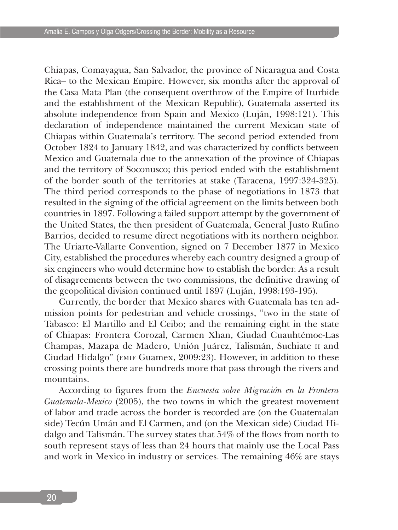Chiapas, Comayagua, San Salvador, the province of Nicaragua and Costa Rica– to the Mexican Empire. However, six months after the approval of the Casa Mata Plan (the consequent overthrow of the Empire of Iturbide and the establishment of the Mexican Republic), Guatemala asserted its absolute independence from Spain and Mexico (Luján, 1998:121). This declaration of independence maintained the current Mexican state of Chiapas within Guatemala's territory. The second period extended from October 1824 to January 1842, and was characterized by conflicts between Mexico and Guatemala due to the annexation of the province of Chiapas and the territory of Soconusco; this period ended with the establishment of the border south of the territories at stake (Taracena, 1997:324-325). The third period corresponds to the phase of negotiations in 1873 that resulted in the signing of the official agreement on the limits between both countries in 1897. Following a failed support attempt by the government of the United States, the then president of Guatemala, General Justo Rufino Barrios, decided to resume direct negotiations with its northern neighbor. The Uriarte-Vallarte Convention, signed on 7 December 1877 in Mexico City, established the procedures whereby each country designed a group of six engineers who would determine how to establish the border. As a result of disagreements between the two commissions, the definitive drawing of the geopolitical division continued until 1897 (Luján, 1998:193-195).

Currently, the border that Mexico shares with Guatemala has ten admission points for pedestrian and vehicle crossings, "two in the state of Tabasco: El Martillo and El Ceibo; and the remaining eight in the state of Chiapas: Frontera Corozal, Carmen Xhan, Ciudad Cuauhtémoc-Las Champas, Mazapa de Madero, Unión Juárez, Talismán, Suchiate ii and Ciudad Hidalgo" (emif Guamex, 2009:23). However, in addition to these crossing points there are hundreds more that pass through the rivers and mountains.

According to figures from the *Encuesta sobre Migración en la Frontera Guatemala-Mexico* (2005), the two towns in which the greatest movement of labor and trade across the border is recorded are (on the Guatemalan side) Tecún Umán and El Carmen, and (on the Mexican side) Ciudad Hidalgo and Talismán. The survey states that 54% of the flows from north to south represent stays of less than 24 hours that mainly use the Local Pass and work in Mexico in industry or services. The remaining 46% are stays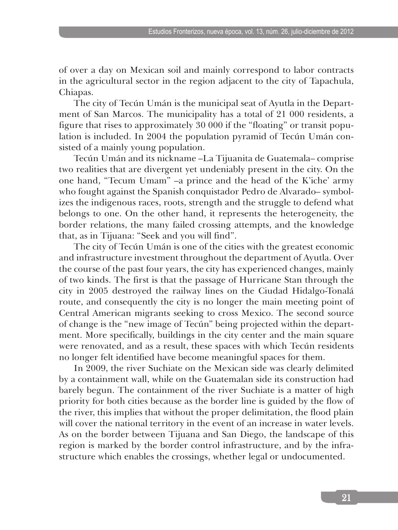of over a day on Mexican soil and mainly correspond to labor contracts in the agricultural sector in the region adjacent to the city of Tapachula, Chiapas.

The city of Tecún Umán is the municipal seat of Ayutla in the Department of San Marcos. The municipality has a total of 21 000 residents, a figure that rises to approximately 30 000 if the "floating" or transit population is included. In 2004 the population pyramid of Tecún Umán consisted of a mainly young population.

Tecún Umán and its nickname –La Tijuanita de Guatemala– comprise two realities that are divergent yet undeniably present in the city. On the one hand, "Tecum Umam" –a prince and the head of the K'iche' army who fought against the Spanish conquistador Pedro de Alvarado– symbolizes the indigenous races, roots, strength and the struggle to defend what belongs to one. On the other hand, it represents the heterogeneity, the border relations, the many failed crossing attempts, and the knowledge that, as in Tijuana: "Seek and you will find".

The city of Tecún Umán is one of the cities with the greatest economic and infrastructure investment throughout the department of Ayutla. Over the course of the past four years, the city has experienced changes, mainly of two kinds. The first is that the passage of Hurricane Stan through the city in 2005 destroyed the railway lines on the Ciudad Hidalgo-Tonalá route, and consequently the city is no longer the main meeting point of Central American migrants seeking to cross Mexico. The second source of change is the "new image of Tecún" being projected within the department. More specifically, buildings in the city center and the main square were renovated, and as a result, these spaces with which Tecún residents no longer felt identified have become meaningful spaces for them.

In 2009, the river Suchiate on the Mexican side was clearly delimited by a containment wall, while on the Guatemalan side its construction had barely begun. The containment of the river Suchiate is a matter of high priority for both cities because as the border line is guided by the flow of the river, this implies that without the proper delimitation, the flood plain will cover the national territory in the event of an increase in water levels. As on the border between Tijuana and San Diego, the landscape of this region is marked by the border control infrastructure, and by the infrastructure which enables the crossings, whether legal or undocumented.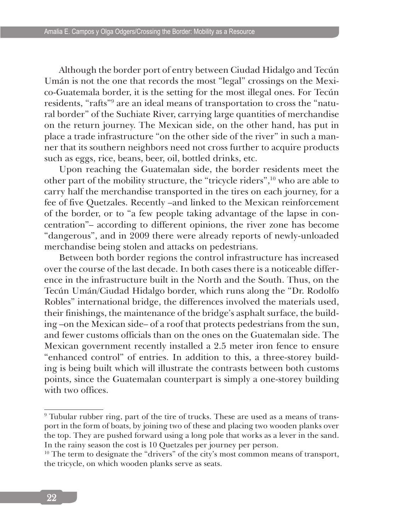Although the border port of entry between Ciudad Hidalgo and Tecún Umán is not the one that records the most "legal" crossings on the Mexico-Guatemala border, it is the setting for the most illegal ones. For Tecún residents, "rafts"<sup>9</sup> are an ideal means of transportation to cross the "natural border" of the Suchiate River, carrying large quantities of merchandise on the return journey. The Mexican side, on the other hand, has put in place a trade infrastructure "on the other side of the river" in such a manner that its southern neighbors need not cross further to acquire products such as eggs, rice, beans, beer, oil, bottled drinks, etc.

Upon reaching the Guatemalan side, the border residents meet the other part of the mobility structure, the "tricycle riders",<sup>10</sup> who are able to carry half the merchandise transported in the tires on each journey, for a fee of five Quetzales. Recently –and linked to the Mexican reinforcement of the border, or to "a few people taking advantage of the lapse in concentration"– according to different opinions, the river zone has become "dangerous", and in 2009 there were already reports of newly-unloaded merchandise being stolen and attacks on pedestrians.

Between both border regions the control infrastructure has increased over the course of the last decade. In both cases there is a noticeable difference in the infrastructure built in the North and the South. Thus, on the Tecún Umán/Ciudad Hidalgo border, which runs along the "Dr. Rodolfo Robles" international bridge, the differences involved the materials used, their finishings, the maintenance of the bridge's asphalt surface, the building –on the Mexican side– of a roof that protects pedestrians from the sun, and fewer customs officials than on the ones on the Guatemalan side. The Mexican government recently installed a 2.5 meter iron fence to ensure "enhanced control" of entries. In addition to this, a three-storey building is being built which will illustrate the contrasts between both customs points, since the Guatemalan counterpart is simply a one-storey building with two offices.

<sup>9</sup> Tubular rubber ring, part of the tire of trucks. These are used as a means of transport in the form of boats, by joining two of these and placing two wooden planks over the top. They are pushed forward using a long pole that works as a lever in the sand. In the rainy season the cost is 10 Quetzales per journey per person.

 $10$  The term to designate the "drivers" of the city's most common means of transport, the tricycle, on which wooden planks serve as seats.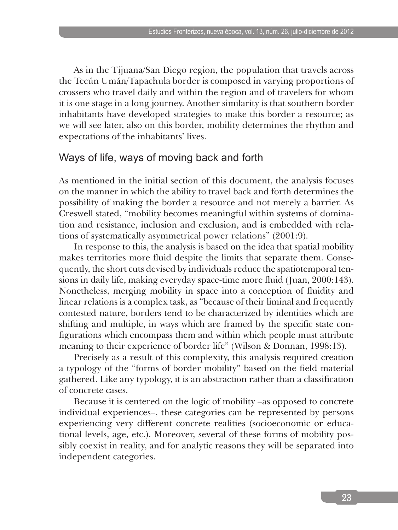As in the Tijuana/San Diego region, the population that travels across the Tecún Umán/Tapachula border is composed in varying proportions of crossers who travel daily and within the region and of travelers for whom it is one stage in a long journey. Another similarity is that southern border inhabitants have developed strategies to make this border a resource; as we will see later, also on this border, mobility determines the rhythm and expectations of the inhabitants' lives.

## Ways of life, ways of moving back and forth

As mentioned in the initial section of this document, the analysis focuses on the manner in which the ability to travel back and forth determines the possibility of making the border a resource and not merely a barrier. As Creswell stated, "mobility becomes meaningful within systems of domination and resistance, inclusion and exclusion, and is embedded with relations of systematically asymmetrical power relations" (2001:9).

In response to this, the analysis is based on the idea that spatial mobility makes territories more fluid despite the limits that separate them. Consequently, the short cuts devised by individuals reduce the spatiotemporal tensions in daily life, making everyday space-time more fluid (Juan, 2000:143). Nonetheless, merging mobility in space into a conception of fluidity and linear relations is a complex task, as "because of their liminal and frequently contested nature, borders tend to be characterized by identities which are shifting and multiple, in ways which are framed by the specific state configurations which encompass them and within which people must attribute meaning to their experience of border life" (Wilson & Donnan, 1998:13).

Precisely as a result of this complexity, this analysis required creation a typology of the "forms of border mobility" based on the field material gathered. Like any typology, it is an abstraction rather than a classification of concrete cases.

Because it is centered on the logic of mobility –as opposed to concrete individual experiences–, these categories can be represented by persons experiencing very different concrete realities (socioeconomic or educational levels, age, etc.). Moreover, several of these forms of mobility possibly coexist in reality, and for analytic reasons they will be separated into independent categories.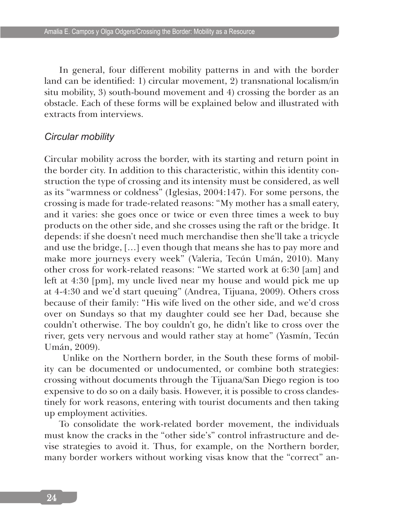In general, four different mobility patterns in and with the border land can be identified: 1) circular movement, 2) transnational localism/in situ mobility, 3) south-bound movement and 4) crossing the border as an obstacle. Each of these forms will be explained below and illustrated with extracts from interviews.

#### *Circular mobility*

Circular mobility across the border, with its starting and return point in the border city. In addition to this characteristic, within this identity construction the type of crossing and its intensity must be considered, as well as its "warmness or coldness" (Iglesias, 2004:147). For some persons, the crossing is made for trade-related reasons: "My mother has a small eatery, and it varies: she goes once or twice or even three times a week to buy products on the other side, and she crosses using the raft or the bridge. It depends: if she doesn't need much merchandise then she'll take a tricycle and use the bridge, […] even though that means she has to pay more and make more journeys every week" (Valeria, Tecún Umán, 2010). Many other cross for work-related reasons: "We started work at 6:30 [am] and left at 4:30 [pm], my uncle lived near my house and would pick me up at 4-4:30 and we'd start queuing" (Andrea, Tijuana, 2009). Others cross because of their family: "His wife lived on the other side, and we'd cross over on Sundays so that my daughter could see her Dad, because she couldn't otherwise. The boy couldn't go, he didn't like to cross over the river, gets very nervous and would rather stay at home" (Yasmín, Tecún Umán, 2009).

 Unlike on the Northern border, in the South these forms of mobility can be documented or undocumented, or combine both strategies: crossing without documents through the Tijuana/San Diego region is too expensive to do so on a daily basis. However, it is possible to cross clandestinely for work reasons, entering with tourist documents and then taking up employment activities.

To consolidate the work-related border movement, the individuals must know the cracks in the "other side's" control infrastructure and devise strategies to avoid it. Thus, for example, on the Northern border, many border workers without working visas know that the "correct" an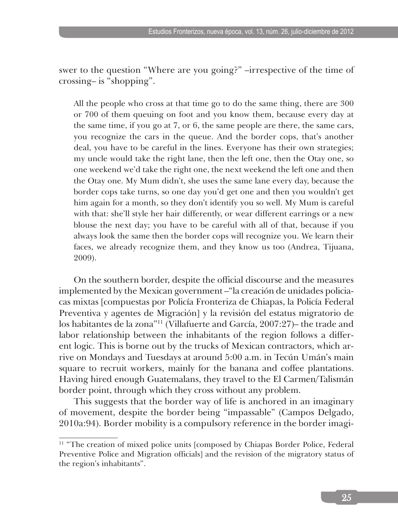swer to the question "Where are you going?" –irrespective of the time of crossing– is "shopping".

All the people who cross at that time go to do the same thing, there are 300 or 700 of them queuing on foot and you know them, because every day at the same time, if you go at 7, or 6, the same people are there, the same cars, you recognize the cars in the queue. And the border cops, that's another deal, you have to be careful in the lines. Everyone has their own strategies; my uncle would take the right lane, then the left one, then the Otay one, so one weekend we'd take the right one, the next weekend the left one and then the Otay one. My Mum didn't, she uses the same lane every day, because the border cops take turns, so one day you'd get one and then you wouldn't get him again for a month, so they don't identify you so well. My Mum is careful with that: she'll style her hair differently, or wear different earrings or a new blouse the next day; you have to be careful with all of that, because if you always look the same then the border cops will recognize you. We learn their faces, we already recognize them, and they know us too (Andrea, Tijuana, 2009).

On the southern border, despite the official discourse and the measures implemented by the Mexican government –"la creación de unidades policiacas mixtas [compuestas por Policía Fronteriza de Chiapas, la Policía Federal Preventiva y agentes de Migración] y la revisión del estatus migratorio de los habitantes de la zona"11 (Villafuerte and García, 2007:27)– the trade and labor relationship between the inhabitants of the region follows a different logic. This is borne out by the trucks of Mexican contractors, which arrive on Mondays and Tuesdays at around 5:00 a.m. in Tecún Umán's main square to recruit workers, mainly for the banana and coffee plantations. Having hired enough Guatemalans, they travel to the El Carmen/Talismán border point, through which they cross without any problem.

This suggests that the border way of life is anchored in an imaginary of movement, despite the border being "impassable" (Campos Delgado, 2010a:94). Border mobility is a compulsory reference in the border imagi-

<sup>&</sup>lt;sup>11</sup> "The creation of mixed police units [composed by Chiapas Border Police, Federal Preventive Police and Migration officials] and the revision of the migratory status of the region's inhabitants".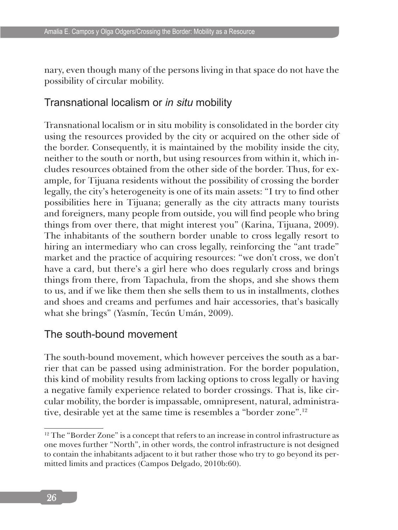nary, even though many of the persons living in that space do not have the possibility of circular mobility.

# Transnational localism or *in situ* mobility

Transnational localism or in situ mobility is consolidated in the border city using the resources provided by the city or acquired on the other side of the border. Consequently, it is maintained by the mobility inside the city, neither to the south or north, but using resources from within it, which includes resources obtained from the other side of the border. Thus, for example, for Tijuana residents without the possibility of crossing the border legally, the city's heterogeneity is one of its main assets: "I try to find other possibilities here in Tijuana; generally as the city attracts many tourists and foreigners, many people from outside, you will find people who bring things from over there, that might interest you" (Karina, Tijuana, 2009). The inhabitants of the southern border unable to cross legally resort to hiring an intermediary who can cross legally, reinforcing the "ant trade" market and the practice of acquiring resources: "we don't cross, we don't have a card, but there's a girl here who does regularly cross and brings things from there, from Tapachula, from the shops, and she shows them to us, and if we like them then she sells them to us in installments, clothes and shoes and creams and perfumes and hair accessories, that's basically what she brings" (Yasmín, Tecún Umán, 2009).

# The south-bound movement

The south-bound movement, which however perceives the south as a barrier that can be passed using administration. For the border population, this kind of mobility results from lacking options to cross legally or having a negative family experience related to border crossings. That is, like circular mobility, the border is impassable, omnipresent, natural, administrative, desirable yet at the same time is resembles a "border zone".12

 $12$  The "Border Zone" is a concept that refers to an increase in control infrastructure as one moves further "North", in other words, the control infrastructure is not designed to contain the inhabitants adjacent to it but rather those who try to go beyond its permitted limits and practices (Campos Delgado, 2010b:60).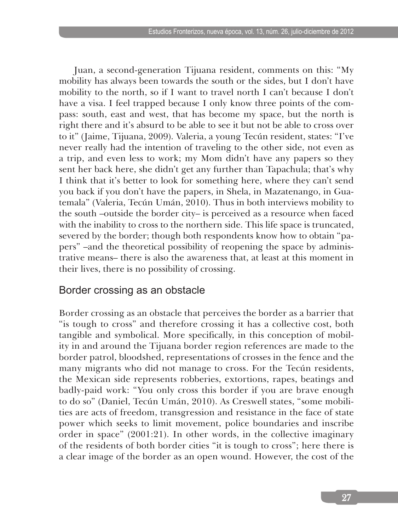Juan, a second-generation Tijuana resident, comments on this: "My mobility has always been towards the south or the sides, but I don't have mobility to the north, so if I want to travel north I can't because I don't have a visa. I feel trapped because I only know three points of the compass: south, east and west, that has become my space, but the north is right there and it's absurd to be able to see it but not be able to cross over to it" (Jaime, Tijuana, 2009). Valeria, a young Tecún resident, states: "I've never really had the intention of traveling to the other side, not even as a trip, and even less to work; my Mom didn't have any papers so they sent her back here, she didn't get any further than Tapachula; that's why I think that it's better to look for something here, where they can't send you back if you don't have the papers, in Shela, in Mazatenango, in Guatemala" (Valeria, Tecún Umán, 2010). Thus in both interviews mobility to the south –outside the border city– is perceived as a resource when faced with the inability to cross to the northern side. This life space is truncated, severed by the border; though both respondents know how to obtain "papers" –and the theoretical possibility of reopening the space by administrative means– there is also the awareness that, at least at this moment in their lives, there is no possibility of crossing.

## Border crossing as an obstacle

Border crossing as an obstacle that perceives the border as a barrier that "is tough to cross" and therefore crossing it has a collective cost, both tangible and symbolical. More specifically, in this conception of mobility in and around the Tijuana border region references are made to the border patrol, bloodshed, representations of crosses in the fence and the many migrants who did not manage to cross. For the Tecún residents, the Mexican side represents robberies, extortions, rapes, beatings and badly-paid work: "You only cross this border if you are brave enough to do so" (Daniel, Tecún Umán, 2010). As Creswell states, "some mobilities are acts of freedom, transgression and resistance in the face of state power which seeks to limit movement, police boundaries and inscribe order in space" (2001:21). In other words, in the collective imaginary of the residents of both border cities "it is tough to cross"; here there is a clear image of the border as an open wound. However, the cost of the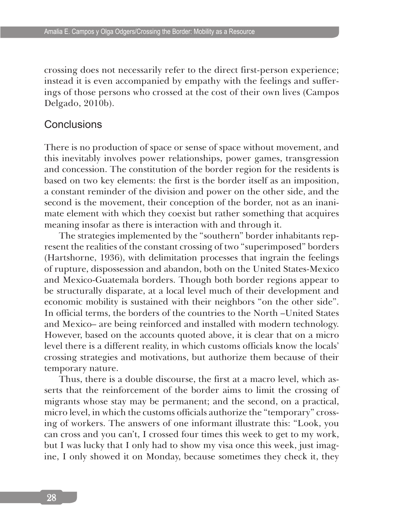crossing does not necessarily refer to the direct first-person experience; instead it is even accompanied by empathy with the feelings and sufferings of those persons who crossed at the cost of their own lives (Campos Delgado, 2010b).

### **Conclusions**

There is no production of space or sense of space without movement, and this inevitably involves power relationships, power games, transgression and concession. The constitution of the border region for the residents is based on two key elements: the first is the border itself as an imposition, a constant reminder of the division and power on the other side, and the second is the movement, their conception of the border, not as an inanimate element with which they coexist but rather something that acquires meaning insofar as there is interaction with and through it.

The strategies implemented by the "southern" border inhabitants represent the realities of the constant crossing of two "superimposed" borders (Hartshorne, 1936), with delimitation processes that ingrain the feelings of rupture, dispossession and abandon, both on the United States-Mexico and Mexico-Guatemala borders. Though both border regions appear to be structurally disparate, at a local level much of their development and economic mobility is sustained with their neighbors "on the other side". In official terms, the borders of the countries to the North –United States and Mexico– are being reinforced and installed with modern technology. However, based on the accounts quoted above, it is clear that on a micro level there is a different reality, in which customs officials know the locals' crossing strategies and motivations, but authorize them because of their temporary nature.

Thus, there is a double discourse, the first at a macro level, which asserts that the reinforcement of the border aims to limit the crossing of migrants whose stay may be permanent; and the second, on a practical, micro level, in which the customs officials authorize the "temporary" crossing of workers. The answers of one informant illustrate this: "Look, you can cross and you can't, I crossed four times this week to get to my work, but I was lucky that I only had to show my visa once this week, just imagine, I only showed it on Monday, because sometimes they check it, they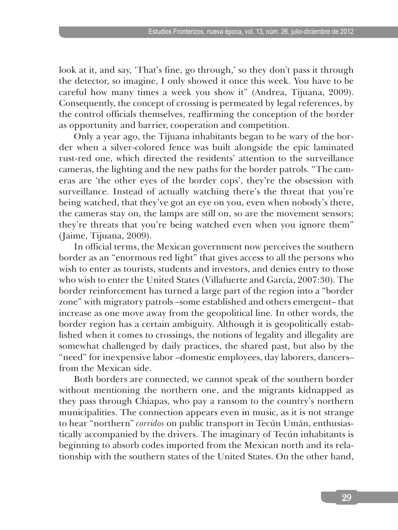look at it, and say, 'That's fine, go through,' so they don't pass it through the detector, so imagine, I only showed it once this week. You have to be careful how many times a week you show it" (Andrea, Tijuana, 2009). Consequently, the concept of crossing is permeated by legal references, by the control officials themselves, reaffirming the conception of the border as opportunity and barrier, cooperation and competition.

Only a year ago, the Tijuana inhabitants began to be wary of the border when a silver-colored fence was built alongside the epic laminated rust-red one, which directed the residents' attention to the surveillance cameras, the lighting and the new paths for the border patrols. "The cameras are 'the other eyes of the border cops', they're the obsession with surveillance. Instead of actually watching there's the threat that you're being watched, that they've got an eye on you, even when nobody's there, the cameras stay on, the lamps are still on, so are the movement sensors; they're threats that you're being watched even when you ignore them" (Jaime, Tijuana, 2009).

In official terms, the Mexican government now perceives the southern border as an "enormous red light" that gives access to all the persons who wish to enter as tourists, students and investors, and denies entry to those who wish to enter the United States (Villafuerte and García, 2007:30). The border reinforcement has turned a large part of the region into a "border zone" with migratory patrols –some established and others emergent– that increase as one move away from the geopolitical line. In other words, the border region has a certain ambiguity. Although it is geopolitically established when it comes to crossings, the notions of legality and illegality are somewhat challenged by daily practices, the shared past, but also by the "need" for inexpensive labor –domestic employees, day laborers, dancers– from the Mexican side.

Both borders are connected, we cannot speak of the southern border without mentioning the northern one, and the migrants kidnapped as they pass through Chiapas, who pay a ransom to the country's northern municipalities. The connection appears even in music, as it is not strange to hear "northern" *corridos* on public transport in Tecún Umán, enthusiastically accompanied by the drivers. The imaginary of Tecún inhabitants is beginning to absorb codes imported from the Mexican north and its relationship with the southern states of the United States. On the other hand,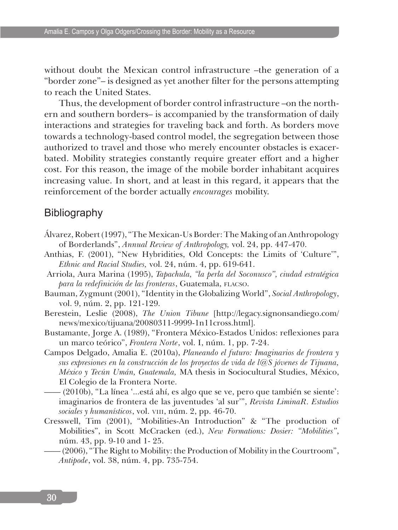without doubt the Mexican control infrastructure –the generation of a "border zone"– is designed as yet another filter for the persons attempting to reach the United States.

Thus, the development of border control infrastructure –on the northern and southern borders– is accompanied by the transformation of daily interactions and strategies for traveling back and forth. As borders move towards a technology-based control model, the segregation between those authorized to travel and those who merely encounter obstacles is exacerbated. Mobility strategies constantly require greater effort and a higher cost. For this reason, the image of the mobile border inhabitant acquires increasing value. In short, and at least in this regard, it appears that the reinforcement of the border actually *encourages* mobility.

### **Bibliography**

- Álvarez, Robert (1997), "The Mexican-Us Border: The Making of an Anthropology of Borderlands", *Annual Review of Anthropology,* vol. 24, pp. 447-470.
- Anthias, F. (2001), "New Hybridities, Old Concepts: the Limits of 'Culture'", *Ethnic and Racial Studies,* vol. 24, núm. 4, pp. 619-641.
- Arriola, Aura Marina (1995), *Tapachula, "la perla del Soconusco", ciudad estratégica para la redefinición de las fronteras*, Guatemala, flacso.
- Bauman, Zygmunt (2001), "Identity in the Globalizing World", *Social Anthropology*, vol. 9, núm. 2, pp. 121-129.
- Berestein, Leslie (2008), *The Union Tibune* [http://legacy.signonsandiego.com/ news/mexico/tijuana/20080311-9999-1n11cross.html].
- Bustamante, Jorge A. (1989), "Frontera México-Estados Unidos: reflexiones para un marco teórico", *Frontera Norte*, vol. I, núm. 1, pp. 7-24.
- Campos Delgado, Amalia E. (2010a), *Planeando el futuro: Imaginarios de frontera y sus expresiones en la construcción de los proyectos de vida de l@S jóvenes de Tijuana, México y Tecún Umán, Guatemala,* MA thesis in Sociocultural Studies, México, El Colegio de la Frontera Norte.
- —— (2010b), "La línea '...está ahí, es algo que se ve, pero que también se siente': imaginarios de frontera de las juventudes 'al sur'", *Revista LiminaR. Estudios sociales y humanísticos*, vol. viii, núm. 2, pp. 46-70.
- Cresswell, Tim (2001), "Mobilities-An Introduction" & "The production of Mobilities", in Scott McCracken (ed.), *New Formations: Dosier: "Mobilities"*, núm. 43, pp. 9-10 and 1- 25.
	- —— (2006), "The Right to Mobility: the Production of Mobility in the Courtroom", *Antipode*, vol. 38, núm. 4, pp. 735-754.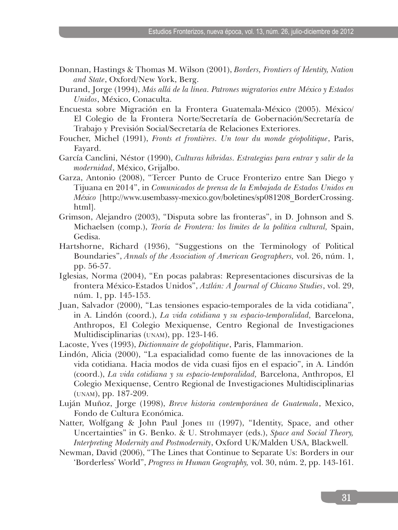- Donnan, Hastings & Thomas M. Wilson (2001), *Borders, Frontiers of Identity, Nation and State*, Oxford/New York, Berg.
- Durand, Jorge (1994), *Más allá de la línea. Patrones migratorios entre México y Estados Unidos*, México, Conaculta.
- Encuesta sobre Migración en la Frontera Guatemala-México (2005). México/ El Colegio de la Frontera Norte/Secretaría de Gobernación/Secretaría de Trabajo y Previsión Social/Secretaría de Relaciones Exteriores.
- Foucher, Michel (1991), *Fronts et frontières. Un tour du monde géopolitique*, Paris, Fayard.
- García Canclini, Néstor (1990), *Culturas híbridas. Estrategias para entrar y salir de la modernidad*, México, Grijalbo.
- Garza, Antonio (2008), "Tercer Punto de Cruce Fronterizo entre San Diego y Tijuana en 2014", in *Comunicados de prensa de la Embajada de Estados Unidos en México* [http://www.usembassy-mexico.gov/boletines/sp081208\_BorderCrossing. html].
- Grimson, Alejandro (2003), "Disputa sobre las fronteras", in D. Johnson and S. Michaelsen (comp.), *Teoría de Frontera: los límites de la política cultural,* Spain, Gedisa.
- Hartshorne, Richard (1936), "Suggestions on the Terminology of Political Boundaries", *Annals of the Association of American Geographers,* vol. 26, núm. 1, pp. 56-57.
- Iglesias, Norma (2004), "En pocas palabras: Representaciones discursivas de la frontera México-Estados Unidos", *Aztlán: A Journal of Chicano Studies*, vol. 29, núm. 1, pp. 145-153.
- Juan, Salvador (2000), "Las tensiones espacio-temporales de la vida cotidiana", in A. Lindón (coord.), *La vida cotidiana y su espacio-temporalidad,* Barcelona, Anthropos, El Colegio Mexiquense, Centro Regional de Investigaciones Multidisciplinarias (unam), pp. 123-146.
- Lacoste, Yves (1993), *Dictionnaire de géopolitique*, Paris, Flammarion.
- Lindón, Alicia (2000), "La espacialidad como fuente de las innovaciones de la vida cotidiana. Hacia modos de vida cuasi fijos en el espacio", in A. Lindón (coord.), *La vida cotidiana y su espacio-temporalidad,* Barcelona, Anthropos, El Colegio Mexiquense, Centro Regional de Investigaciones Multidisciplinarias (unam), pp. 187-209.
- Luján Muñoz, Jorge (1998), *Breve historia contemporánea de Guatemala*, Mexico, Fondo de Cultura Económica.
- Natter, Wolfgang & John Paul Jones III (1997), "Identity, Space, and other Uncertainties" in G. Benko. & U. Strohmayer (eds.), *Space and Social Theory, Interpreting Modernity and Postmodernity*, Oxford UK/Malden USA, Blackwell.
- Newman, David (2006), "The Lines that Continue to Separate Us: Borders in our 'Borderless' World", *Progress in Human Geography,* vol. 30, núm. 2, pp. 143-161.